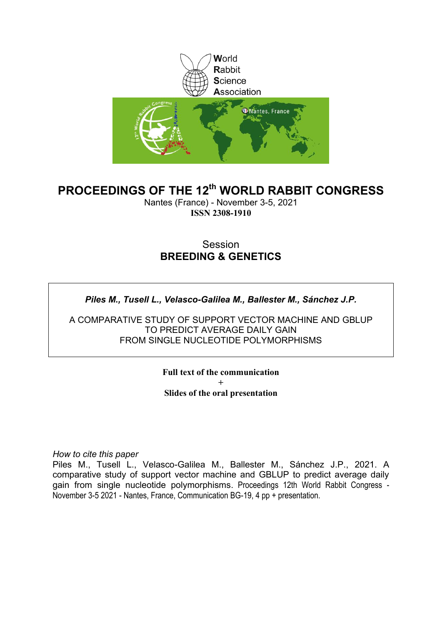

## **PROCEEDINGS OF THE 12th WORLD RABBIT CONGRESS**

Nantes (France) - November 3-5, 2021 **ISSN 2308-1910**

### Session **BREEDING & GENETICS**

*Piles M., Tusell L., Velasco-Galilea M., Ballester M., Sánchez J.P.*

A COMPARATIVE STUDY OF SUPPORT VECTOR MACHINE AND GBLUP TO PREDICT AVERAGE DAILY GAIN FROM SINGLE NUCLEOTIDE POLYMORPHISMS

> **Full text of the communication + Slides of the oral presentation**

*How to cite this paper*

Piles M., Tusell L., Velasco-Galilea M., Ballester M., Sánchez J.P., 2021. A comparative study of support vector machine and GBLUP to predict average daily gain from single nucleotide polymorphisms. Proceedings 12th World Rabbit Congress - November 3-5 2021 - Nantes, France, Communication BG-19, 4 pp + presentation.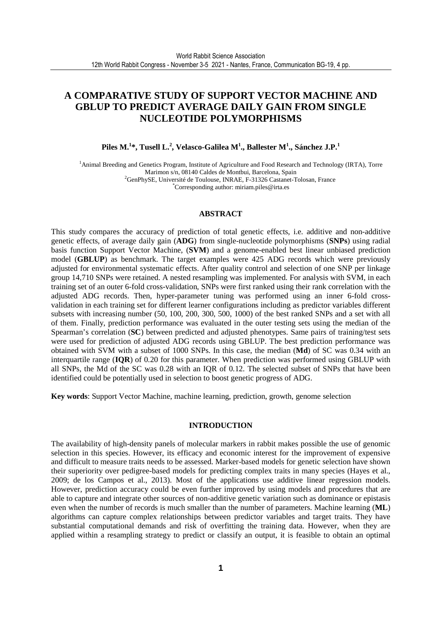### **A COMPARATIVE STUDY OF SUPPORT VECTOR MACHINE AND GBLUP TO PREDICT AVERAGE DAILY GAIN FROM SINGLE NUCLEOTIDE POLYMORPHISMS**

**Piles M.<sup>1</sup> \*, Tusell L.<sup>2</sup> , Velasco-Galilea M<sup>1</sup> ., Ballester M<sup>1</sup> ., Sánchez J.P.<sup>1</sup>**

<sup>1</sup>Animal Breeding and Genetics Program, Institute of Agriculture and Food Research and Technology (IRTA), Torre Marimon s/n, 08140 Caldes de Montbui, Barcelona, Spain <sup>2</sup>GenPhySE, Université de Toulouse, INRAE, F-31326 Castanet-Tolosan, France \*Corresponding author: miriam.piles@irta.es

#### **ABSTRACT**

This study compares the accuracy of prediction of total genetic effects, i.e. additive and non-additive genetic effects, of average daily gain (**ADG**) from single-nucleotide polymorphisms (**SNPs**) using radial basis function Support Vector Machine, (**SVM**) and a genome-enabled best linear unbiased prediction model (**GBLUP**) as benchmark. The target examples were 425 ADG records which were previously adjusted for environmental systematic effects. After quality control and selection of one SNP per linkage group 14,710 SNPs were retained. A nested resampling was implemented. For analysis with SVM, in each training set of an outer 6-fold cross-validation, SNPs were first ranked using their rank correlation with the adjusted ADG records. Then, hyper-parameter tuning was performed using an inner 6-fold crossvalidation in each training set for different learner configurations including as predictor variables different subsets with increasing number (50, 100, 200, 300, 500, 1000) of the best ranked SNPs and a set with all of them. Finally, prediction performance was evaluated in the outer testing sets using the median of the Spearman's correlation (**SC**) between predicted and adjusted phenotypes. Same pairs of training/test sets were used for prediction of adjusted ADG records using GBLUP. The best prediction performance was obtained with SVM with a subset of 1000 SNPs. In this case, the median (**Md**) of SC was 0.34 with an interquartile range (**IQR**) of 0.20 for this parameter. When prediction was performed using GBLUP with all SNPs, the Md of the SC was 0.28 with an IQR of 0.12. The selected subset of SNPs that have been identified could be potentially used in selection to boost genetic progress of ADG.

**Key words**: Support Vector Machine, machine learning, prediction, growth, genome selection

#### **INTRODUCTION**

The availability of high-density panels of molecular markers in rabbit makes possible the use of genomic selection in this species. However, its efficacy and economic interest for the improvement of expensive and difficult to measure traits needs to be assessed. Marker-based models for genetic selection have shown their superiority over pedigree-based models for predicting complex traits in many species (Hayes et al., 2009; de los Campos et al., 2013). Most of the applications use additive linear regression models. However, prediction accuracy could be even further improved by using models and procedures that are able to capture and integrate other sources of non-additive genetic variation such as dominance or epistasis even when the number of records is much smaller than the number of parameters. Machine learning (**ML**) algorithms can capture complex relationships between predictor variables and target traits. They have substantial computational demands and risk of overfitting the training data. However, when they are applied within a resampling strategy to predict or classify an output, it is feasible to obtain an optimal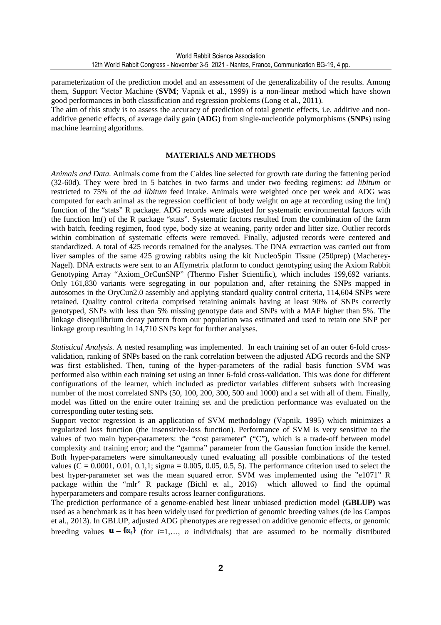parameterization of the prediction model and an assessment of the generalizability of the results. Among them, Support Vector Machine (**SVM**; Vapnik et al., 1999) is a non-linear method which have shown good performances in both classification and regression problems (Long et al., 2011).

The aim of this study is to assess the accuracy of prediction of total genetic effects, i.e. additive and nonadditive genetic effects, of average daily gain (**ADG**) from single-nucleotide polymorphisms (**SNPs**) using machine learning algorithms.

#### **MATERIALS AND METHODS**

*Animals and Data*. Animals come from the Caldes line selected for growth rate during the fattening period (32-60d). They were bred in 5 batches in two farms and under two feeding regimens: *ad libitum* or restricted to 75% of the *ad libitum* feed intake. Animals were weighted once per week and ADG was computed for each animal as the regression coefficient of body weight on age at recording using the lm() function of the "stats" R package. ADG records were adjusted for systematic environmental factors with the function lm() of the R package "stats". Systematic factors resulted from the combination of the farm with batch, feeding regimen, food type, body size at weaning, parity order and litter size. Outlier records within combination of systematic effects were removed. Finally, adjusted records were centered and standardized. A total of 425 records remained for the analyses. The DNA extraction was carried out from liver samples of the same 425 growing rabbits using the kit NucleoSpin Tissue (250prep) (Macherey-Nagel). DNA extracts were sent to an Affymetrix platform to conduct genotyping using the Axiom Rabbit Genotyping Array "Axiom OrCunSNP" (Thermo Fisher Scientific), which includes 199,692 variants. Only 161,830 variants were segregating in our population and, after retaining the SNPs mapped in autosomes in the OryCun2.0 assembly and applying standard quality control criteria, 114,604 SNPs were retained. Quality control criteria comprised retaining animals having at least 90% of SNPs correctly genotyped, SNPs with less than 5% missing genotype data and SNPs with a MAF higher than 5%. The linkage disequilibrium decay pattern from our population was estimated and used to retain one SNP per linkage group resulting in 14,710 SNPs kept for further analyses.

*Statistical Analysis*. A nested resampling was implemented. In each training set of an outer 6-fold crossvalidation, ranking of SNPs based on the rank correlation between the adjusted ADG records and the SNP was first established. Then, tuning of the hyper-parameters of the radial basis function SVM was performed also within each training set using an inner 6-fold cross-validation. This was done for different configurations of the learner, which included as predictor variables different subsets with increasing number of the most correlated SNPs (50, 100, 200, 300, 500 and 1000) and a set with all of them. Finally, model was fitted on the entire outer training set and the prediction performance was evaluated on the corresponding outer testing sets.

Support vector regression is an application of SVM methodology (Vapnik, 1995) which minimizes a regularized loss function (the insensitive-loss function). Performance of SVM is very sensitive to the values of two main hyper-parameters: the "cost parameter" ("C"), which is a trade-off between model complexity and training error; and the "gamma" parameter from the Gaussian function inside the kernel. Both hyper-parameters were simultaneously tuned evaluating all possible combinations of the tested values ( $C = 0.0001, 0.01, 0.1, 1$ ; sigma = 0.005, 0.05, 0.5, 5). The performance criterion used to select the best hyper-parameter set was the mean squared error. SVM was implemented using the "e1071" R package within the "mlr" R package (Bichl et al., 2016) which allowed to find the optimal hyperparameters and compare results across learner configurations.

The prediction performance of a genome-enabled best linear unbiased prediction model (**GBLUP)** was used as a benchmark as it has been widely used for prediction of genomic breeding values (de los Campos et al., 2013). In GBLUP, adjusted ADG phenotypes are regressed on additive genomic effects, or genomic breeding values  $\mathbf{u} - \mathbf{f} u_i$  (for *i*=1,…, *n* individuals) that are assumed to be normally distributed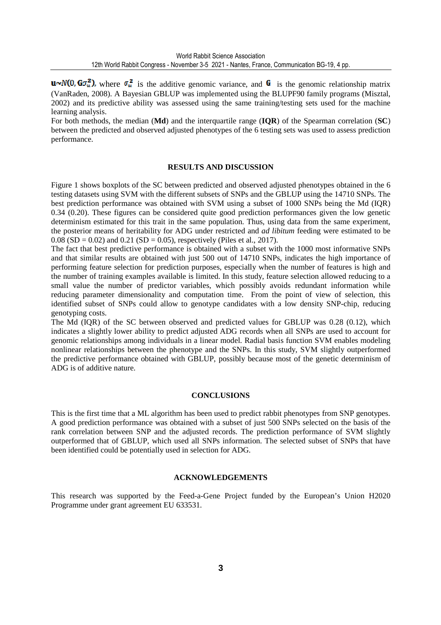$\mathbf{u} \sim N(0, \mathbf{G}\sigma_u^2)$ , where  $\sigma_u^2$  is the additive genomic variance, and  $\mathbf{G}$  is the genomic relationship matrix (VanRaden, 2008). A Bayesian GBLUP was implemented using the BLUPF90 family programs (Misztal, 2002) and its predictive ability was assessed using the same training/testing sets used for the machine learning analysis.

For both methods, the median (**Md**) and the interquartile range (**IQR**) of the Spearman correlation (**SC**) between the predicted and observed adjusted phenotypes of the 6 testing sets was used to assess prediction performance.

#### **RESULTS AND DISCUSSION**

Figure 1 shows boxplots of the SC between predicted and observed adjusted phenotypes obtained in the 6 testing datasets using SVM with the different subsets of SNPs and the GBLUP using the 14710 SNPs. The best prediction performance was obtained with SVM using a subset of 1000 SNPs being the Md (IQR) 0.34 (0.20). These figures can be considered quite good prediction performances given the low genetic determinism estimated for this trait in the same population. Thus, using data from the same experiment, the posterior means of heritability for ADG under restricted and *ad libitum* feeding were estimated to be 0.08 (SD = 0.02) and 0.21 (SD = 0.05), respectively (Piles et al., 2017).

The fact that best predictive performance is obtained with a subset with the 1000 most informative SNPs and that similar results are obtained with just 500 out of 14710 SNPs, indicates the high importance of performing feature selection for prediction purposes, especially when the number of features is high and the number of training examples available is limited. In this study, feature selection allowed reducing to a small value the number of predictor variables, which possibly avoids redundant information while reducing parameter dimensionality and computation time. From the point of view of selection, this identified subset of SNPs could allow to genotype candidates with a low density SNP-chip, reducing genotyping costs.

The Md (IQR) of the SC between observed and predicted values for GBLUP was 0.28 (0.12), which indicates a slightly lower ability to predict adjusted ADG records when all SNPs are used to account for genomic relationships among individuals in a linear model. Radial basis function SVM enables modeling nonlinear relationships between the phenotype and the SNPs. In this study, SVM slightly outperformed the predictive performance obtained with GBLUP, possibly because most of the genetic determinism of ADG is of additive nature.

#### **CONCLUSIONS**

This is the first time that a ML algorithm has been used to predict rabbit phenotypes from SNP genotypes. A good prediction performance was obtained with a subset of just 500 SNPs selected on the basis of the rank correlation between SNP and the adjusted records. The prediction performance of SVM slightly outperformed that of GBLUP, which used all SNPs information. The selected subset of SNPs that have been identified could be potentially used in selection for ADG.

#### **ACKNOWLEDGEMENTS**

This research was supported by the Feed-a-Gene Project funded by the European's Union H2020 Programme under grant agreement EU 633531.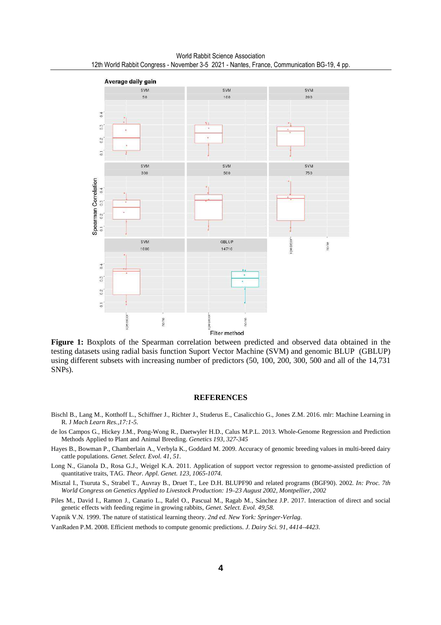

**Figure 1:** Boxplots of the Spearman correlation between predicted and observed data obtained in the testing datasets using radial basis function Suport Vector Machine (SVM) and genomic BLUP (GBLUP) using different subsets with increasing number of predictors (50, 100, 200, 300, 500 and all of the 14,731 SNPs).

#### **REFERENCES**

- Bischl B., Lang M., Kotthoff L., Schiffner J., Richter J., Studerus E., Casalicchio G., Jones Z.M. 2016. mlr: Machine Learning in R. J *Mach Learn Res.,17:1-5.*
- de los Campos G., Hickey J.M., Pong-Wong R., Daetwyler H.D., Calus M.P.L. 2013. Whole-Genome Regression and Prediction Methods Applied to Plant and Animal Breeding. *Genetics 193, 327-345*
- Hayes B., Bowman P., Chamberlain A., Verbyla K., Goddard M. 2009. Accuracy of genomic breeding values in multi-breed dairy cattle populations. *Genet. Select. Evol. 41, 51.*
- Long N., Gianola D., Rosa G.J., Weigel K.A. 2011. Application of support vector regression to genome-assisted prediction of quantitative traits, TAG. *Theor. Appl. Genet. 123, 1065-1074.*
- Misztal I., Tsuruta S., Strabel T., Auvray B., Druet T., Lee D.H. BLUPF90 and related programs (BGF90). 2002*. In: Proc. 7th World Congress on Genetics Applied to Livestock Production: 19–23 August 2002, Montpellier, 2002*
- Piles M., David I., Ramon J., Canario L., Rafel O., Pascual M., Ragab M., Sánchez J.P. 2017. Interaction of direct and social genetic effects with feeding regime in growing rabbits, *Genet. Select. Evol. 49,58.*
- Vapnik V.N. 1999. The nature of statistical learning theory. *2nd ed. New York: Springer-Verlag.*

VanRaden P.M. 2008. Efficient methods to compute genomic predictions. *J. Dairy Sci. 91, 4414–4423*.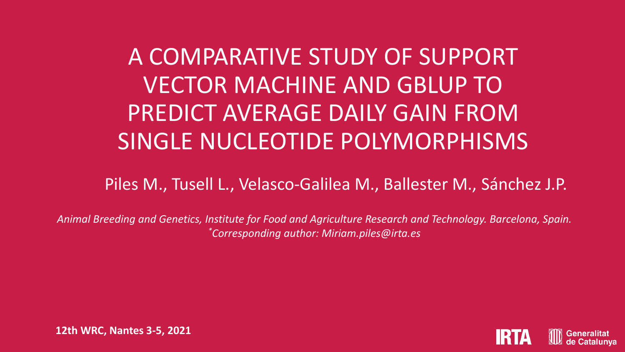A COMPARATIVE STUDY OF SUPPORT VECTOR MACHINE AND GBLUP TO PREDICT AVERAGE DAILY GAIN FROM SINGLE NUCLEOTIDE POLYMORPHISMS

Piles M., Tusell L., Velasco-Galilea M., Ballester M., Sánchez J.P.

*Animal Breeding and Genetics, Institute for Food and Agriculture Research and Technology. Barcelona, Spain. \*Corresponding author: Miriam.piles@irta.es*



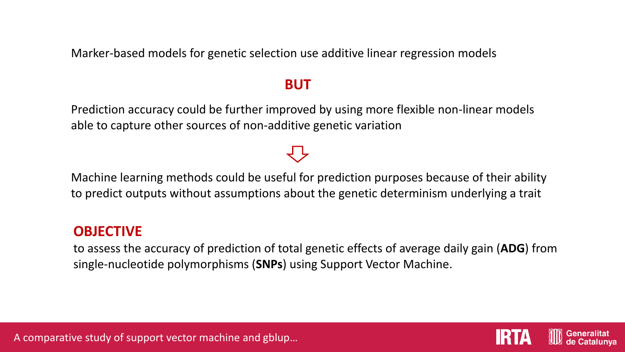Marker-based models for genetic selection use additive linear regression models

## **BUT**

Prediction accuracy could be further improved by using more flexible non-linear models able to capture other sources of non-additive genetic variation

## Machine learning methods could be useful for prediction purposes because of their ability to predict outputs without assumptions about the genetic determinism underlying a trait

## **OBJECTIVE**

to assess the accuracy of prediction of total genetic effects of average daily gain (**ADG**) from single-nucleotide polymorphisms (**SNPs**) using Support Vector Machine.



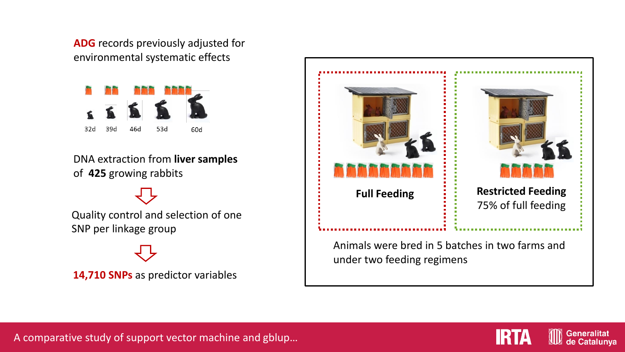**ADG** records previously adjusted for environmental systematic effects



DNA extraction from **liver samples**  of **425** growing rabbits

Quality control and selection of one SNP per linkage group

**14,710 SNPs** as predictor variables





**Generalitat** de Catalunya

A comparative study of support vector machine and gblup…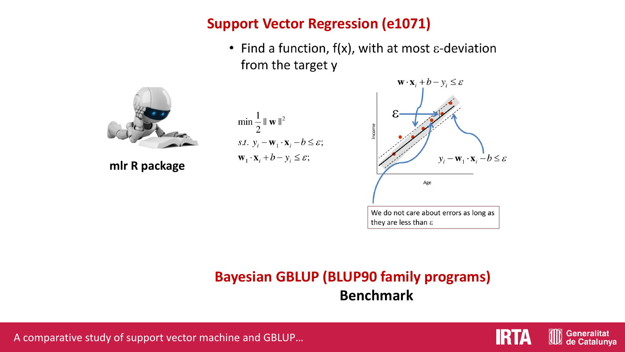## **Support Vector Regression (e1071)**

• Find a function,  $f(x)$ , with at most  $\varepsilon$ -deviation from the target y



**mlr R package**





# **Bayesian GBLUP (BLUP90 family programs) Benchmark**





**Generalitat** de Catalunya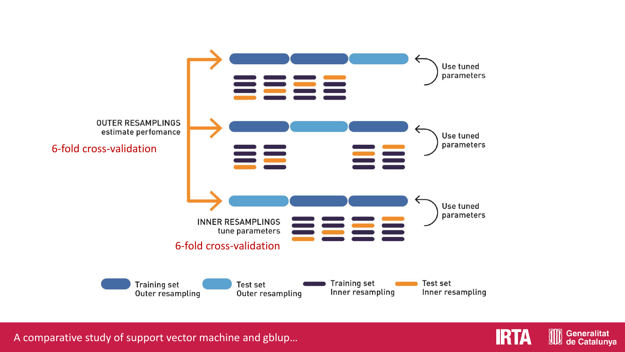

A comparative study of support vector machine and gblup…



**Generalitat** 

de Catalunya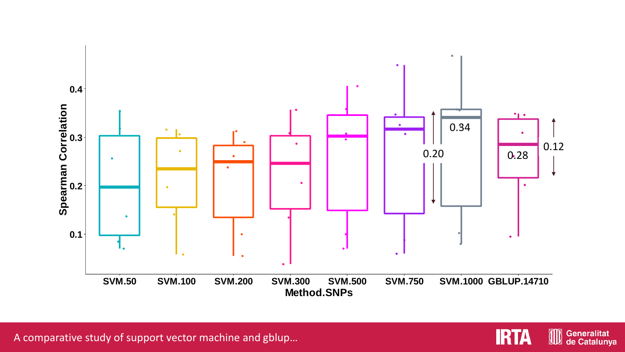

A comparative study of support vector machine and gblup…

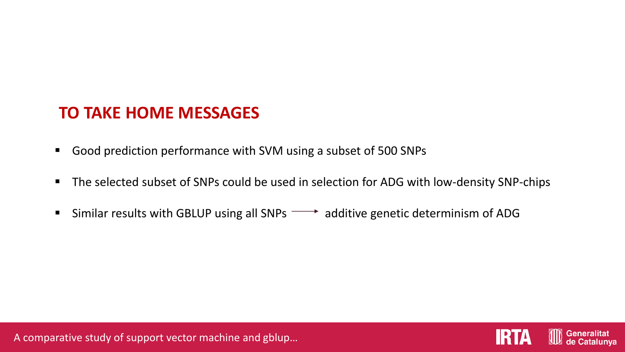# **TO TAKE HOME MESSAGES**

- Good prediction performance with SVM using a subset of 500 SNPs
- The selected subset of SNPs could be used in selection for ADG with low-density SNP-chips
- **E** Similar results with GBLUP using all SNPs  $\longrightarrow$  additive genetic determinism of ADG